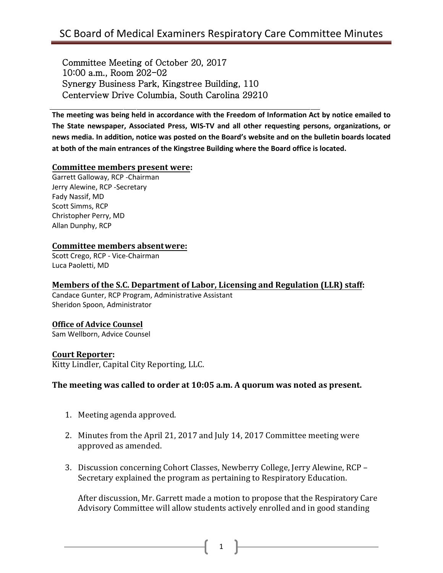Committee Meeting of October 20, 2017 10:00 a.m., Room 202-02 Synergy Business Park, Kingstree Building, 110 Centerview Drive Columbia, South Carolina 29210

**The meeting was being held in accordance with the Freedom of Information Act by notice emailed to The State newspaper, Associated Press, WIS-TV and all other requesting persons, organizations, or news media. In addition, notice was posted on the Board's website and on the bulletin boards located at both of the main entrances of the Kingstree Building where the Board office is located.**

#### **Committee members present were:**

Garrett Galloway, RCP -Chairman Jerry Alewine, RCP -Secretary Fady Nassif, MD Scott Simms, RCP Christopher Perry, MD Allan Dunphy, RCP

## **Committee members absentwere:**

Scott Crego, RCP - Vice-Chairman Luca Paoletti, MD

#### **Members of the S.C. Department of Labor, Licensing and Regulation (LLR) staff:**

Candace Gunter, RCP Program, Administrative Assistant Sheridon Spoon, Administrator

### **Office of Advice Counsel**

Sam Wellborn, Advice Counsel

#### **Court Reporter:**

Kitty Lindler, Capital City Reporting, LLC.

#### **The meeting was called to order at 10:05 a.m. A quorum was noted as present.**

- 1. Meeting agenda approved.
- 2. Minutes from the April 21, 2017 and July 14, 2017 Committee meeting were approved as amended.
- 3. Discussion concerning Cohort Classes, Newberry College, Jerry Alewine, RCP Secretary explained the program as pertaining to Respiratory Education.

After discussion, Mr. Garrett made a motion to propose that the Respiratory Care Advisory Committee will allow students actively enrolled and in good standing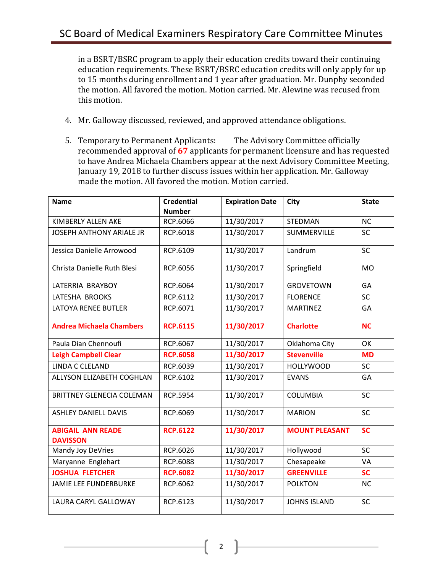in a BSRT/BSRC program to apply their education credits toward their continuing education requirements. These BSRT/BSRC education credits will only apply for up to 15 months during enrollment and 1 year after graduation. Mr. Dunphy seconded the motion. All favored the motion. Motion carried. Mr. Alewine was recused from this motion.

- 4. Mr. Galloway discussed, reviewed, and approved attendance obligations.
- 5. Temporary to Permanent Applicants: The Advisory Committee officially recommended approval of **67** applicants for permanent licensure and has requested to have Andrea Michaela Chambers appear at the next Advisory Committee Meeting, January 19, 2018 to further discuss issues within her application. Mr. Galloway made the motion. All favored the motion. Motion carried.

| <b>Name</b>                                 | <b>Credential</b> | <b>Expiration Date</b> | <b>City</b>           | <b>State</b> |
|---------------------------------------------|-------------------|------------------------|-----------------------|--------------|
|                                             | <b>Number</b>     |                        |                       |              |
| KIMBERLY ALLEN AKE                          | RCP.6066          | 11/30/2017             | <b>STEDMAN</b>        | <b>NC</b>    |
| <b>JOSEPH ANTHONY ARIALE JR</b>             | RCP.6018          | 11/30/2017             | <b>SUMMERVILLE</b>    | <b>SC</b>    |
| Jessica Danielle Arrowood                   | RCP.6109          | 11/30/2017             | Landrum               | <b>SC</b>    |
| Christa Danielle Ruth Blesi                 | RCP.6056          | 11/30/2017             | Springfield           | <b>MO</b>    |
| LATERRIA BRAYBOY                            | RCP.6064          | 11/30/2017             | <b>GROVETOWN</b>      | GA           |
| LATESHA BROOKS                              | RCP.6112          | 11/30/2017             | <b>FLORENCE</b>       | <b>SC</b>    |
| <b>LATOYA RENEE BUTLER</b>                  | RCP.6071          | 11/30/2017             | <b>MARTINEZ</b>       | GA           |
| <b>Andrea Michaela Chambers</b>             | <b>RCP.6115</b>   | 11/30/2017             | <b>Charlotte</b>      | <b>NC</b>    |
| Paula Dian Chennoufi                        | RCP.6067          | 11/30/2017             | Oklahoma City         | OK           |
| <b>Leigh Campbell Clear</b>                 | <b>RCP.6058</b>   | 11/30/2017             | <b>Stevenville</b>    | <b>MD</b>    |
| <b>LINDA C CLELAND</b>                      | RCP.6039          | 11/30/2017             | <b>HOLLYWOOD</b>      | <b>SC</b>    |
| ALLYSON ELIZABETH COGHLAN                   | RCP.6102          | 11/30/2017             | <b>EVANS</b>          | GA           |
| <b>BRITTNEY GLENECIA COLEMAN</b>            | RCP.5954          | 11/30/2017             | <b>COLUMBIA</b>       | SC           |
| <b>ASHLEY DANIELL DAVIS</b>                 | RCP.6069          | 11/30/2017             | <b>MARION</b>         | <b>SC</b>    |
| <b>ABIGAIL ANN READE</b><br><b>DAVISSON</b> | <b>RCP.6122</b>   | 11/30/2017             | <b>MOUNT PLEASANT</b> | <b>SC</b>    |
| Mandy Joy DeVries                           | RCP.6026          | 11/30/2017             | Hollywood             | <b>SC</b>    |
| Maryanne Englehart                          | RCP.6088          | 11/30/2017             | Chesapeake            | <b>VA</b>    |
| <b>JOSHUA FLETCHER</b>                      | <b>RCP.6082</b>   | 11/30/2017             | <b>GREENVILLE</b>     | <b>SC</b>    |
| <b>JAMIE LEE FUNDERBURKE</b>                | RCP.6062          | 11/30/2017             | <b>POLKTON</b>        | <b>NC</b>    |
| <b>LAURA CARYL GALLOWAY</b>                 | RCP.6123          | 11/30/2017             | <b>JOHNS ISLAND</b>   | <b>SC</b>    |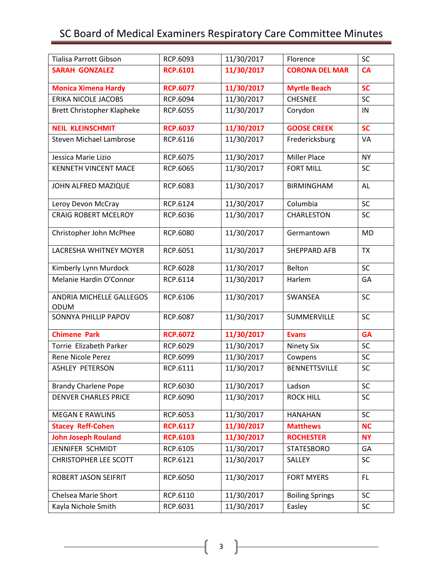# SC Board of Medical Examiners Respiratory Care Committee Minutes

| Tialisa Parrott Gibson                  | RCP.6093        | 11/30/2017 | Florence               | <b>SC</b> |
|-----------------------------------------|-----------------|------------|------------------------|-----------|
| <b>SARAH GONZALEZ</b>                   | <b>RCP.6101</b> | 11/30/2017 | <b>CORONA DEL MAR</b>  | <b>CA</b> |
| <b>Monica Ximena Hardy</b>              | <b>RCP.6077</b> | 11/30/2017 | <b>Myrtle Beach</b>    | <b>SC</b> |
| <b>ERIKA NICOLE JACOBS</b>              | RCP.6094        | 11/30/2017 | <b>CHESNEE</b>         | SC        |
| <b>Brett Christopher Klapheke</b>       | RCP.6055        | 11/30/2017 | Corydon                | IN        |
| <b>NEIL KLEINSCHMIT</b>                 | <b>RCP.6037</b> | 11/30/2017 | <b>GOOSE CREEK</b>     | <b>SC</b> |
| <b>Steven Michael Lambrose</b>          | RCP.6116        | 11/30/2017 | Fredericksburg         | VA        |
| Jessica Marie Lizio                     | RCP.6075        | 11/30/2017 | <b>Miller Place</b>    | <b>NY</b> |
| <b>KENNETH VINCENT MACE</b>             | RCP.6065        | 11/30/2017 | <b>FORT MILL</b>       | <b>SC</b> |
| JOHN ALFRED MAZIQUE                     | RCP.6083        | 11/30/2017 | <b>BIRMINGHAM</b>      | <b>AL</b> |
| Leroy Devon McCray                      | RCP.6124        | 11/30/2017 | Columbia               | SC        |
| <b>CRAIG ROBERT MCELROY</b>             | RCP.6036        | 11/30/2017 | <b>CHARLESTON</b>      | <b>SC</b> |
| Christopher John McPhee                 | RCP.6080        | 11/30/2017 | Germantown             | <b>MD</b> |
| <b>LACRESHA WHITNEY MOYER</b>           | RCP.6051        | 11/30/2017 | <b>SHEPPARD AFB</b>    | <b>TX</b> |
| Kimberly Lynn Murdock                   | RCP.6028        | 11/30/2017 | Belton                 | SC        |
| Melanie Hardin O'Connor                 | RCP.6114        | 11/30/2017 | Harlem                 | GA        |
| ANDRIA MICHELLE GALLEGOS<br><b>ODUM</b> | RCP.6106        | 11/30/2017 | SWANSEA                | SC        |
| <b>SONNYA PHILLIP PAPOV</b>             | RCP.6087        | 11/30/2017 | SUMMERVILLE            | SC        |
| <b>Chimene Park</b>                     | <b>RCP.6072</b> | 11/30/2017 | <b>Evans</b>           | <b>GA</b> |
| Torrie Elizabeth Parker                 | RCP.6029        | 11/30/2017 | <b>Ninety Six</b>      | SC        |
| Rene Nicole Perez                       | RCP.6099        | 11/30/2017 | Cowpens                | SC        |
| <b>ASHLEY PETERSON</b>                  | RCP.6111        | 11/30/2017 | <b>BENNETTSVILLE</b>   | SC        |
| <b>Brandy Charlene Pope</b>             | RCP.6030        | 11/30/2017 | Ladson                 | <b>SC</b> |
| <b>DENVER CHARLES PRICE</b>             | RCP.6090        | 11/30/2017 | <b>ROCK HILL</b>       | SC        |
| <b>MEGAN E RAWLINS</b>                  | RCP.6053        | 11/30/2017 | <b>HANAHAN</b>         | SC        |
| <b>Stacey Reff-Cohen</b>                | <b>RCP.6117</b> | 11/30/2017 | <b>Matthews</b>        | <b>NC</b> |
| <b>John Joseph Rouland</b>              | <b>RCP.6103</b> | 11/30/2017 | <b>ROCHESTER</b>       | <b>NY</b> |
| JENNIFER SCHMIDT                        | RCP.6105        | 11/30/2017 | <b>STATESBORO</b>      | GA        |
| <b>CHRISTOPHER LEE SCOTT</b>            | RCP.6121        | 11/30/2017 | SALLEY                 | <b>SC</b> |
| ROBERT JASON SEIFRIT                    | RCP.6050        | 11/30/2017 | <b>FORT MYERS</b>      | FL.       |
| Chelsea Marie Short                     | RCP.6110        | 11/30/2017 | <b>Boiling Springs</b> | <b>SC</b> |
| Kayla Nichole Smith                     | RCP.6031        | 11/30/2017 | Easley                 | <b>SC</b> |

 $\begin{bmatrix} 3 \end{bmatrix}$